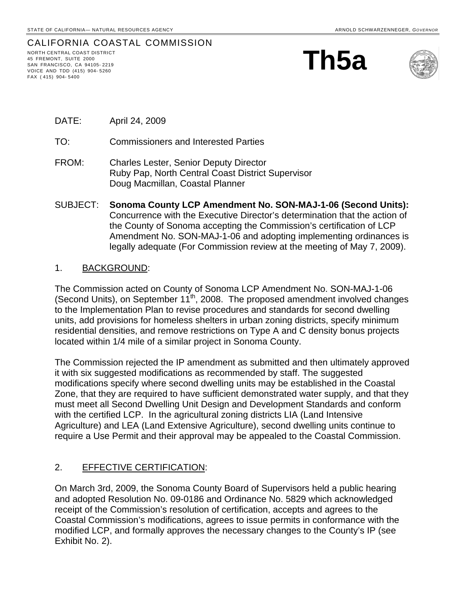# CALIFORNIA COASTAL COMMISSION

NORTH CENTRAL COAST DISTRICT 45 FREMONT, SUITE 2000 SAN FRANCISCO, CA 94105- 2219 VOICE AND TDD (415) 904- 5260 FAX ( 415) 904- 5400





- DATE: April 24, 2009
- TO: Commissioners and Interested Parties
- FROM: Charles Lester, Senior Deputy Director Ruby Pap, North Central Coast District Supervisor Doug Macmillan, Coastal Planner
- SUBJECT: **Sonoma County LCP Amendment No. SON-MAJ-1-06 (Second Units):**  Concurrence with the Executive Director's determination that the action of the County of Sonoma accepting the Commission's certification of LCP Amendment No. SON-MAJ-1-06 and adopting implementing ordinances is legally adequate (For Commission review at the meeting of May 7, 2009).

### 1. BACKGROUND:

The Commission acted on County of Sonoma LCP Amendment No. SON-MAJ-1-06 (Second Units), on September  $11^{th}$ , 2008. The proposed amendment involved changes to the Implementation Plan to revise procedures and standards for second dwelling units, add provisions for homeless shelters in urban zoning districts, specify minimum residential densities, and remove restrictions on Type A and C density bonus projects located within 1/4 mile of a similar project in Sonoma County.

The Commission rejected the IP amendment as submitted and then ultimately approved it with six suggested modifications as recommended by staff. The suggested modifications specify where second dwelling units may be established in the Coastal Zone, that they are required to have sufficient demonstrated water supply, and that they must meet all Second Dwelling Unit Design and Development Standards and conform with the certified LCP. In the agricultural zoning districts LIA (Land Intensive Agriculture) and LEA (Land Extensive Agriculture), second dwelling units continue to require a Use Permit and their approval may be appealed to the Coastal Commission.

## 2. EFFECTIVE CERTIFICATION:

On March 3rd, 2009, the Sonoma County Board of Supervisors held a public hearing and adopted Resolution No. 09-0186 and Ordinance No. 5829 which acknowledged receipt of the Commission's resolution of certification, accepts and agrees to the Coastal Commission's modifications, agrees to issue permits in conformance with the modified LCP, and formally approves the necessary changes to the County's IP (see Exhibit No. 2).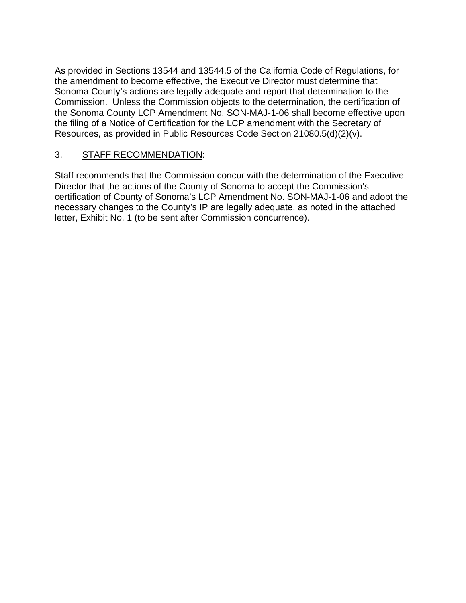As provided in Sections 13544 and 13544.5 of the California Code of Regulations, for the amendment to become effective, the Executive Director must determine that Sonoma County's actions are legally adequate and report that determination to the Commission. Unless the Commission objects to the determination, the certification of the Sonoma County LCP Amendment No. SON-MAJ-1-06 shall become effective upon the filing of a Notice of Certification for the LCP amendment with the Secretary of Resources, as provided in Public Resources Code Section 21080.5(d)(2)(v).

## 3. STAFF RECOMMENDATION:

Staff recommends that the Commission concur with the determination of the Executive Director that the actions of the County of Sonoma to accept the Commission's certification of County of Sonoma's LCP Amendment No. SON-MAJ-1-06 and adopt the necessary changes to the County's IP are legally adequate, as noted in the attached letter, Exhibit No. 1 (to be sent after Commission concurrence).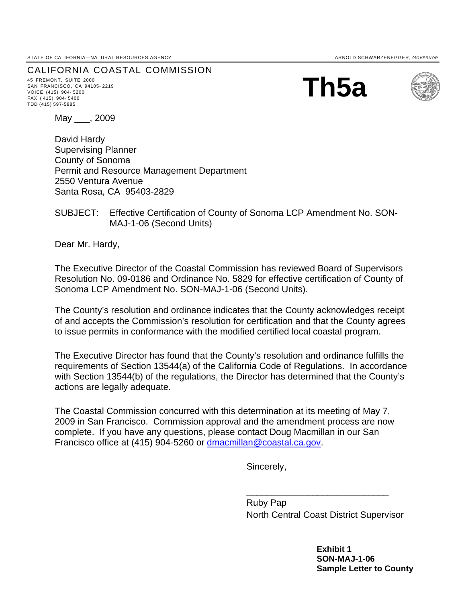STATE OF CALIFORNIA—NATURAL RESOURCES AGENCY **ARNOLD SCHWARZENEGGER, GOVERNOR** ARNOLD SCHWARZENEGGER, GOVERNOR

CALIFORNIA COASTAL COMMISSION 45 FREMONT, SUITE <sup>2000</sup>

SAN FRANCISCO, CA 94105- 2219 VOICE (415) 904- 5200 FAX ( 415) 904- 5400 TDD (415) 597-5885

**Th5a** 



May \_\_\_, 2009

David Hardy Supervising Planner County of Sonoma Permit and Resource Management Department 2550 Ventura Avenue Santa Rosa, CA 95403-2829

### SUBJECT: Effective Certification of County of Sonoma LCP Amendment No. SON-MAJ-1-06 (Second Units)

Dear Mr. Hardy,

The Executive Director of the Coastal Commission has reviewed Board of Supervisors Resolution No. 09-0186 and Ordinance No. 5829 for effective certification of County of Sonoma LCP Amendment No. SON-MAJ-1-06 (Second Units).

The County's resolution and ordinance indicates that the County acknowledges receipt of and accepts the Commission's resolution for certification and that the County agrees to issue permits in conformance with the modified certified local coastal program.

The Executive Director has found that the County's resolution and ordinance fulfills the requirements of Section 13544(a) of the California Code of Regulations. In accordance with Section 13544(b) of the regulations, the Director has determined that the County's actions are legally adequate.

The Coastal Commission concurred with this determination at its meeting of May 7, 2009 in San Francisco. Commission approval and the amendment process are now complete. If you have any questions, please contact Doug Macmillan in our San Francisco office at (415) 904-5260 or [dmacmillan@coastal.ca.gov.](mailto:dmacmillan@coastal.ca.gov)

Sincerely,

 $\frac{1}{2}$  , and the set of the set of the set of the set of the set of the set of the set of the set of the set of the set of the set of the set of the set of the set of the set of the set of the set of the set of the set

 Ruby Pap North Central Coast District Supervisor

> **Exhibit 1 SON-MAJ-1-06 Sample Letter to County**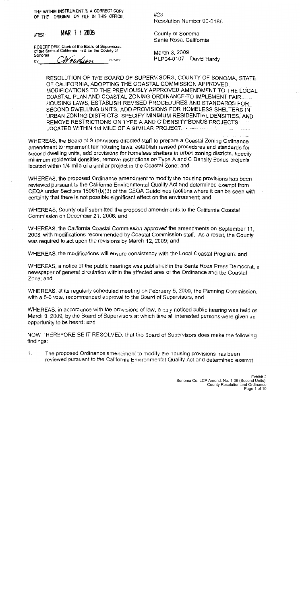THE WITHIN INSTRUMENT IS A CORRECT COPY OF THE ORIGINAL ON FILE IN THIS OFFICE.

ATTEST:

MAR 1 1 2009

ROBERT DEIS, Clerk of the Board of Supervisors of the State of California, in & for the County of Sonoma

Woodson **DEPUTY** BY

 $#23$ Resolution Number 09-0186

County of Sonoma Santa Rosa, California

March 3, 2009 PLP04-0107 David Hardy

RESOLUTION OF THE BOARD OF SUPERVISORS, COUNTY OF SONOMA, STATE OF CALIFORNIA, ADOPTING THE COASTAL COMMISSION APPROVED MODIFICATIONS TO THE PREVIOUSLY APPROVED AMENDMENT TO THE LOCAL COASTAL PLAN AND COASTAL ZONING ORDINANCE-TO-IMPLEMENT FAIR....... HOUSING LAWS, ESTABLISH REVISED PROCEDURES AND STANDARDS FOR SECOND DWELLING UNITS, ADD PROVISIONS FOR HOMELESS SHELTERS IN URBAN ZONING DISTRICTS, SPECIFY MINIMUM RESIDENTIAL DENSITIES, AND REMOVE RESTRICTIONS ON TYPE A AND C DENSITY BONUS PROJECTS LOCATED WITHIN 1/4 MILE OF A SIMILAR PROJECT. The same of the

WHEREAS, the Board of Supervisors directed staff to prepare a Coastal Zoning Ordinance amendment to implement fair housing laws, establish revised procedures and standards for second dwelling units, add provisions for homeless shelters in urban zoning districts, specify minimum residential densities, remove restrictions on Type A and C Density Bonus projects located within 1/4 mile of a similar project in the Coastal Zone; and

WHEREAS, the proposed Ordinance amendment to modify the housing provisions has been reviewed pursuant to the California Environmental Quality Act and determined exempt from CEQA under Sections 15061(b)(3) of the CEQA Guidelines (actions where it can be seen with certainty that there is not possible significant effect on the environment; and

WHEREAS, County staff submitted the proposed amendments to the California Coastal Commission on December 21, 2006; and

WHEREAS, the California Coastal Commission approved the amendments on September 11. 2008, with modifications recommended by Coastal Commission staff. As a result, the County was required to act upon the revisions by March 12, 2009; and

WHEREAS, the modifications will ensure consistency with the Local Coastal Program; and

WHEREAS, a notice of the public hearings was published in the Santa Rosa Press Democrat, a newspaper of general circulation within the affected area of the Ordinance and the Coastal Zone; and

WHEREAS, at its regularly scheduled meeting on February 5, 2009, the Planning Commission. with a 5-0 vote, recommended approval to the Board of Supervisors, and

WHEREAS, in accordance with the provisions of law, a duly noticed public hearing was held on March 3, 2009, by the Board of Supervisors at which time all interested persons were given an opportunity to be heard; and

NOW THEREFORE BE IT RESOLVED, that the Board of Supervisors does make the following findings:

1. The proposed Ordinance amendment to modify the housing provisions has been reviewed pursuant to the California Environmental Quality Act and determined exempt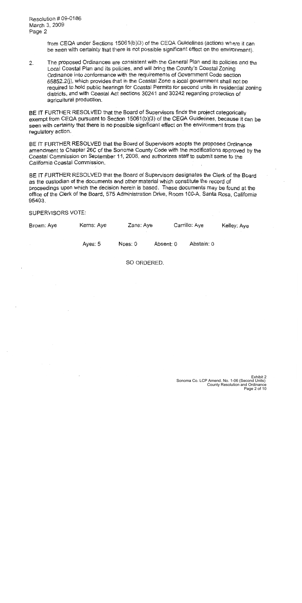Resolution # 09-0186 March 3, 2009 Page 2

> from CEQA under Sections 15061(b)(3) of the CEQA Guidelines (actions where it can be seen with certainty that there is not possible significant effect on the environment).

The proposed Ordinances are consistent with the General Plan and its policies and the  $2.$ Local Coastal Plan and its policies, and will bring the County's Coastal Zoning Ordinance into conformance with the requirements of Government Code section 65852.2(j), which provides that in the Coastal Zone a local government shall not be required to hold public hearings for Coastal Permits for second units in residential zoning districts, and with Coastal Act sections 30241 and 30242 regarding protection of agricultural production.

BE IT FURTHER RESOLVED that the Board of Supervisors finds the project categorically exempt from CEQA pursuant to Section 15061(b)(3) of the CEQA Guidelines, because it can be seen with certainty that there is no possible significant effect on the environment from this requiatory action.

BE IT FURTHER RESOLVED that the Board of Supervisors adopts the proposed Ordinance amendment to Chapter 26C of the Sonoma County Code with the modifications approved by the Coastal Commission on September 11, 2008, and authorizes staff to submit same to the California Coastal Commission.

BE IT FURTHER RESOLVED that the Board of Supervisors designates the Clerk of the Board as the custodian of the documents and other material which constitute the record of proceedings upon which the decision herein is based. These documents may be found at the office of the Clerk of the Board, 575 Administration Drive, Room 100-A, Santa Rosa, California 95403.

### **SUPERVISORS VOTE:**

| Carrillo: Aye<br>Zane: Aye<br>Kerns: Aye<br>Brown: Aye |  |  |  |  | Kelley: Aye |
|--------------------------------------------------------|--|--|--|--|-------------|
|--------------------------------------------------------|--|--|--|--|-------------|

Abstain: 0 Ayes: 5 Noes: 0 Absent: 0

SO ORDERED.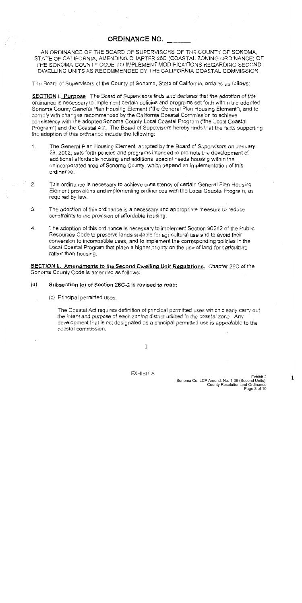## **ORDINANCE NO.**

AN ORDINANCE OF THE BOARD OF SUPERVISORS OF THE COUNTY OF SONOMA. STATE OF CALIFORNIA, AMENDING CHAPTER 26C (COASTAL ZONING ORDINANCE) OF THE SONOMA COUNTY CODE TO IMPLEMENT MODIFICATIONS REGARDING SECOND DWELLING UNITS AS RECOMMENDED BY THE CALIFORNIA COASTAL COMMISSION.

The Board of Supervisors of the County of Sonoma, State of California, ordains as follows:

**SECTION I. Purpose** The Board of Supervisors finds and declares that the adoption of this ordinance is necessary to implement certain policies and programs set forth within the adopted Sonoma County General Plan Housing Element ("the General Plan Housing Element"), and to comply with changes recommended by the California Coastal Commission to achieve consistency with the adopted Sonoma County Local Coastal Program ("the Local Coastal Program") and the Coastal Act. The Board of Supervisors hereby finds that the facts supporting the adoption of this ordinance include the following:

- $1.$ The General Plan Housing Element, adopted by the Board of Supervisors on January 29, 2002, sets forth policies and programs intended to promote the development of additional affordable housing and additional special needs housing within the unincorporated area of Sonoma County, which depend on implementation of this ordinance.
- $2.$ This ordinance is necessary to achieve consistency of certain General Plan Housing Element provisions and implementing ordinances with the Local Coastal Program, as required by law.
- 3. The adoption of this ordinance is a necessary and appropriate measure to reduce constraints to the provision of affordable housing.
- The adoption of this ordinance is necessary to implement Section 30242 of the Public 4. Resources Code to preserve lands suitable for agricultural use and to avoid their conversion to incompatible uses, and to implement the corresponding policies in the Local Coastal Program that place a higher priority on the use of land for agriculture rather than housing.

SECTION II. Amendments to the Second Dwelling Unit Requiations. Chapter 26C of the Sonoma County Code is amended as follows:

#### $(a)$ Subsection (c) of Section 26C-2 is revised to read:

(c) Principal permitted uses:

The Coastal Act requires definition of principal permitted uses which clearly carry out the intent and purpose of each zoning district utilized in the coastal zone. Any development that is not designated as a principal permitted use is appealable to the coastal commission.

 $\mathbb{1}$ 

 $\mathbf{1}$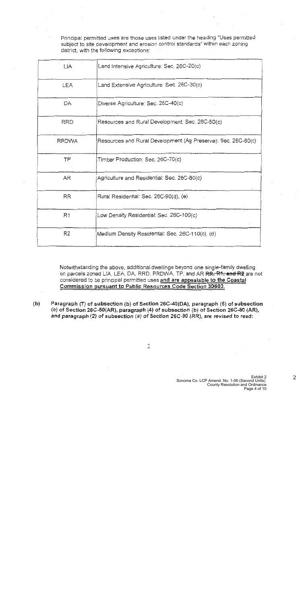Principal permitted uses are those uses listed under the heading "Uses permitted subject to site development and erosion control standards" within each zoning district, with the following exceptions:

| LIA            | Land Intensive Agriculture: Sec. 26C-20(c)                    |  |  |  |  |
|----------------|---------------------------------------------------------------|--|--|--|--|
| <b>LEA</b>     | Land Extensive Agriculture: Sec. 26C-30(c)                    |  |  |  |  |
| DA             | Diverse Agriculture: Sec. 26C-40(c)                           |  |  |  |  |
| <b>RRD</b>     | Resources and Rural Development: Sec. 26C-50(c)               |  |  |  |  |
| <b>RRDWA</b>   | Resources and Rural Development (Ag Preserve): Sec. 26C-60(c) |  |  |  |  |
| TP             | Timber Production: Sec. 26C-70(c)                             |  |  |  |  |
| AR.            | Agriculture and Residential: Sec. 26C-80(c)                   |  |  |  |  |
| <b>RR</b>      | Rural Residential: Sec. 26C-90(d), (e)                        |  |  |  |  |
| R <sub>1</sub> | Low Density Residential: Sec. 26C-100(c)                      |  |  |  |  |
| R2             | Medium Density Residential: Sec. 26C-110(c), (d)              |  |  |  |  |

Notwithstanding the above, additional dwellings beyond one single-family dwelling on parcels zoned LIA, LEA, DA, RRD, RRDWA, TP, and AR RR, R1, and R2 are not considered to be principal permitted uses and are appealable to the Coastal Commission pursuant to Public Resources Code Section 30603.

 $(b)$ Paragraph (7) of subsection (b) of Section 26C-40(DA), paragraph (6) of subsection (b) of Section 26C-50(AR), paragraph (4) of subsection (b) of Section 26C-80 (AR), and paragraph (2) of subsection (a) of Section 26C-90 (RR), are revised to read:

 $\overline{2}$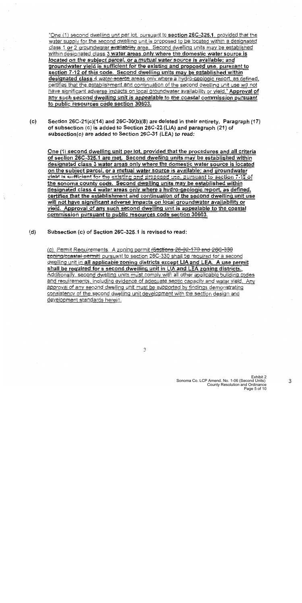"One (1) second dwelling unit per lot, pursuant to section 26C-325.1, provided that the water supply for the second dwelling unit is proposed to be located within a designated class 1 or 2 groundwater availability area. Second dwelling units may be established within designated class 3 water areas only where the domestic water source is located on the subject parcel, or a mutual water source is available; and groundwater yield is sufficient for the existing and proposed use, pursuant to section 7-12 of this code. Second dwelling units may be established within designated class 4 water-scarce areas only where a hydro-geologic report, as defined, certifies that the establishment and continuation of the second dwelling unit use will not have significant adverse impacts on local groundwater availability or yield." Approval of any such second dwelling unit is appealable to the coastal commission pursuant to public resources code section 30603.

Section 26C-21(c)(14) and 26C-30(b)(8) are deleted in their entirety. Paragraph (17)  $(c)$ of subsection (c) is added to Section 26C-22 (LiA) and paragraph (21) of subsection(c) are added to Section 26C-31 (LEA) to read:

One (1) second dwelling unit per lot, provided that the procedures and all criteria of section 26C-325.1 are met. Second dwelling units may be established within designated class 3 water areas only where the domestic water source is located on the subject parcel, or a mutual water source is available; and groundwater vield is sufficient for the existing and proposed use, pursuant to section 7-12 of the sonoma county code. Second dwelling units may be established within designated class 4 water areas only where a hydro-geologic report, as defined, certifies that the establishment and continuation of the second dwelling unit use will not have significant adverse impacts on local groundwater availability or yield. Approval of any such second dwelling unit is appealable to the coastal commission pursuant to public resources code section 30603.

 $(d)$ Subsection (c) of Section 26C-325.1 is revised to read:

> (c), Permit Requirements. A zoning permit (Sections 26-92-170 and 26C-330 zoning/coastal permit) pursuant to section 26C-330 shall be required for a second dwelling unit in all applicable zoning districts except LIA and LEA. A use permit shall be required for a second dwelling unit in LIA and LEA zoning districts. Additionally, second dwelling units must comply with all other applicable building codes and requirements, including evidence of adequate septic capacity and water yield. Any approval of any second dwelling unit must be supported by findings demonstrating consistency of the second dwelling unit development with the section design and development standards herein.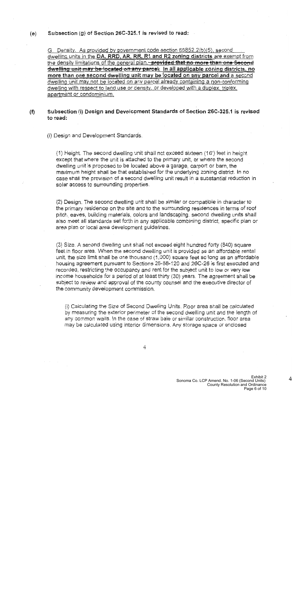#### Subsection (g) of Section 26C-325.1 is revised to read:  $(e)$

G. Density. As provided by government code section 65852.2(b)(5), second dwelling units in the DA, RRD, AR, RR, R1 and R2 zoning districts are exempt from the density limitations of the general plan. provided that no more than one Second dwelling unit may be located on any parcel. In all applicable zoning districts, no more than one second dwelling unit may be located on any parcel and a second dwelling unit may not be located on any parcel already containing a non-conforming dwelling with respect to land use or density, or developed with a duplex, triplex. apartment or condominium.

### Subsection (i) Design and Development Standards of Section 26C-325.1 is revised  $(f)$ to read:

(i) Design and Development Standards.

(1) Height. The second dwelling unit shall not exceed sixteen (16') feet in height except that where the unit is attached to the primary unit, or where the second dwelling unit is proposed to be located above a garage, carport or barn, the maximum height shall be that established for the underlying zoning district. In no case shall the provision of a second dwelling unit result in a substantial reduction in solar access to surrounding properties.

(2) Design. The second dwelling unit shall be similar or compatible in character to the primary residence on the site and to the surrounding residences in terms of roof pitch, eaves, building materials, colors and landscaping, second dwelling units shall also meet all standards set forth in any applicable combining district, specific plan or area plan or local area development guidelines.

(3) Size. A second dwelling unit shall not exceed eight hundred forty (840) square feet in floor area. When the second dwelling unit is provided as an affordable rental unit, the size limit shall be one thousand (1,000) square feet so long as an affordable housing agreement pursuant to Sections 26-88-120 and 26C-26 is first executed and recorded, restricting the occupancy and rent for the subject unit to low or very low income households for a period of at least thirty (30) years. The agreement shall be subject to review and approval of the county counsel and the executive director of the community development commission.

(i) Calculating the Size of Second Dwelling Units. Floor area shall be calculated by measuring the exterior perimeter of the second dwelling unit and the length of any common walls. In the case of straw bale or similar construction, floor area may be calculated using interior dimensions. Any storage space or enclosed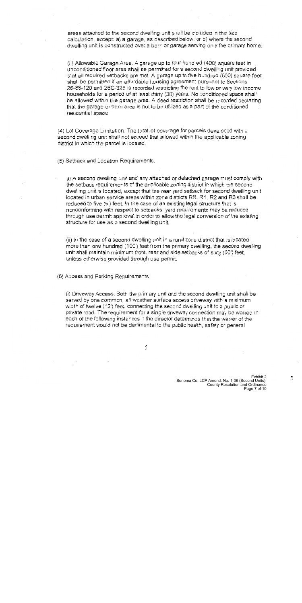areas attached to the second dwelling unit shall be included in the size calculation, except: a) a garage, as described below; or b) where the second dwelling unit is constructed over a barn or garage serving only the primary home.

(ii) Allowable Garage Area. A garage up to four hundred (400) square feet in unconditioned floor area shall be permitted for a second dwelling unit provided that all required setbacks are met. A garage up to five hundred (500) square feet shall be permitted if an affordable housing agreement pursuant to Sections 26-88-120 and 26C-326 is recorded restricting the rent to low or very low income households for a period of at least thirty (30) years. No conditioned space shall be allowed within the garage area. A deed restriction shall be recorded declaring that the garage or barn area is not to be utilized as a part of the conditioned residential space.

(4) Lot Coverage Limitation. The total lot coverage for parcels developed with a second dwelling unit shall not exceed that allowed within the applicable zoning district in which the parcel is located.

(5) Setback and Location Requirements.

(1) A second dwelling unit and any attached or detached garage must comply with the setback requirements of the applicable zoning district in which the second dwelling unit is located, except that the rear yard setback for second dwelling unit located in urban service areas within zone districts RR, R1, R2 and R3 shall be reduced to five (5') feet. In the case of an existing legal structure that is nonconforming with respect to setbacks, yard requirements may be reduced through use permit approval in order to allow the legal conversion of the existing structure for use as a second dwelling unit.

(ii) In the case of a second dwelling unit in a rural zone district that is located more than one hundred (100') feet from the primary dwelling, the second dwelling unit shall maintain minimum front, rear and side setbacks of sixty (60') feet, unless otherwise provided through use permit.

(6) Access and Parking Requirements.

(i) Driveway Access, Both the primary unit and the second dwelling unit shall be served by one common, all-weather surface access driveway with a minimum width of twelve (12') feet, connecting the second dwelling unit to a public or private road. The requirement for a single driveway connection may be waived in each of the following instances if the director determines that the waiver of the requirement would not be detrimental to the public health, safety or general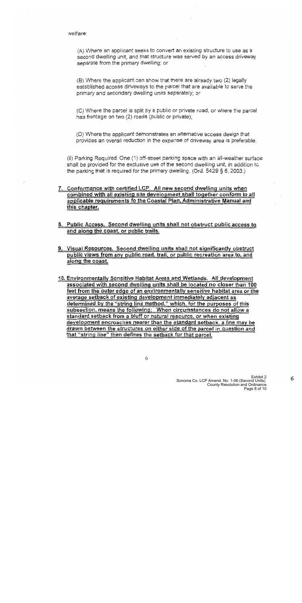welfare:

(A) Where an applicant seeks to convert an existing structure to use as a second dwelling unit, and that structure was served by an access driveway separate from the primary dwelling; or

(B) Where the applicant can show that there are already two (2) legally established access driveways to the parcel that are available to serve the primary and secondary dwelling units separately; or

(C) Where the parcel is split by a public or private road, or where the parcel has frontage on two (2) roads (public or private);

(D) Where the applicant demonstrates an alternative access design that provides an overall reduction in the expanse of driveway area is preferable.

(ii) Parking Required. One (1) off-street parking space with an all-weather surface shall be provided for the exclusive use of the second dwelling unit, in addition to the parking that is required for the primary dwelling. (Ord.  $5429 \S 6$ , 2003.)

- 7. Conformance with certified LCP. All new second dwelling units when combined with all existing site development shall together conform to all applicable requirements fo the Coastal Plan, Administrative Manual and this chapter.
- 8. Public Access. Second dwelling units shall not obstruct public access to and along the coast, or public trails.
- 9. Visual Resources. Second dwelling units shall not significantly obstruct public views from any public road, trail, or public recreation area to, and along the coast.
- 10. Environmentally Sensitive Habitat Areas and Wetlands. All development associated with second dwelling units shall be located no closer than 100 feet from the outer edge of an environmentally sensitive habitat area or the average setback of existing development immediately adjacent as determined by the "string line method," which, for the purposes of this subsection, means the following: When circumstances do not allow a standard setback from a bluff or natural resource, or when existing development encroaches nearer than the standard setback, a line may be drawn between the structures on either side of the parcel in question and that "string line" then defines the setback for that parcel.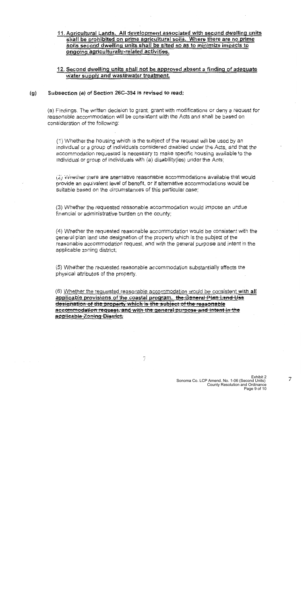### 11. Agricultural Lands. All development associated with second dwelling units shall be prohibited on prime agricultural soils. Where there are no prime soils second dwelling units shall be sited so as to minimize impacts to ongoing agriculturally-related activities.

### 12. Second dwelling units shall not be approved absent a finding of adequate water supply and wastewater treatment.

#### Subsection (a) of Section 26C-394 is revised to read:  $(q)$

(a) Findings. The written decision to grant, grant with modifications or deny a request for reasonable accommodation will be consistent with the Acts and shall be based on consideration of the following:

(1) Whether the housing which is the subject of the request will be used by an individual or a group of individuals considered disabled under the Acts, and that the accommodation requested is necessary to make specific housing available to the individual or group of individuals with (a) disability (ies) under the Acts;

(2) Wriether there are alternative reasonable accommodations available that would provide an equivalent level of benefit, or if alternative accommodations would be suitable based on the circumstances of this particular case;

(3) Whether the requested reasonable accommodation would impose an undue financial or administrative burden on the county;

(4) Whether the requested reasonable accommodation would be consistent with the general plan land use designation of the property which is the subject of the reasonable accommodation request, and with the general purpose and intent in the applicable zoning district;

(5) Whether the requested reasonable accommodation substantially affects the physical attributes of the property.

(6) Whether the requested reasonable accommodation would be consistent with all applicable provisions of the coastal program. the General Plan Land Use designation of the property which is the subject of the ressonable accommodation request, and with the general purpose and intent in the **applicable Zoning District.**